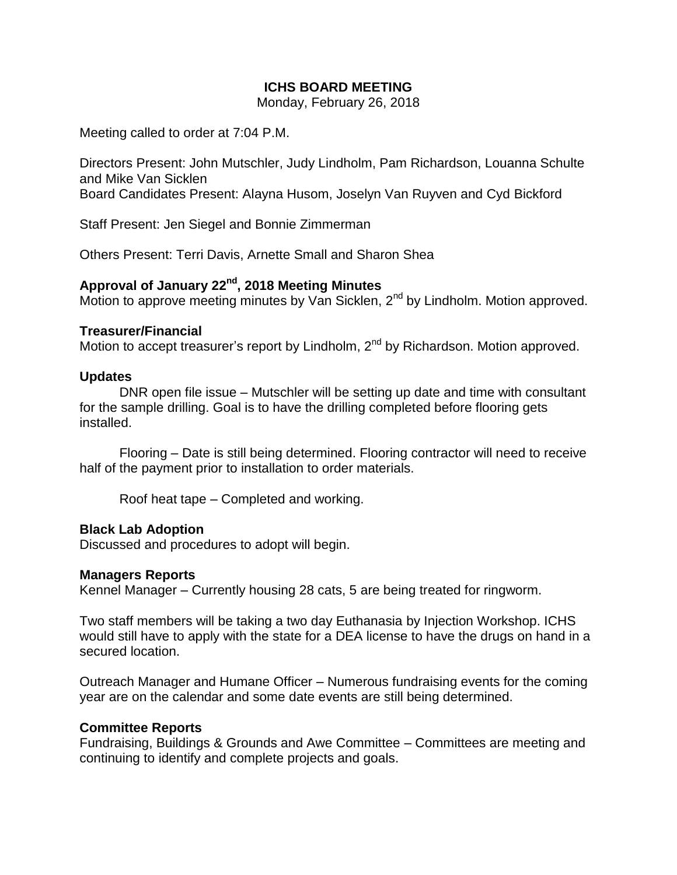## **ICHS BOARD MEETING**

Monday, February 26, 2018

Meeting called to order at 7:04 P.M.

Directors Present: John Mutschler, Judy Lindholm, Pam Richardson, Louanna Schulte and Mike Van Sicklen

Board Candidates Present: Alayna Husom, Joselyn Van Ruyven and Cyd Bickford

Staff Present: Jen Siegel and Bonnie Zimmerman

Others Present: Terri Davis, Arnette Small and Sharon Shea

# **Approval of January 22nd, 2018 Meeting Minutes**

Motion to approve meeting minutes by Van Sicklen, 2<sup>nd</sup> by Lindholm. Motion approved.

#### **Treasurer/Financial**

Motion to accept treasurer's report by Lindholm, 2<sup>nd</sup> by Richardson. Motion approved.

#### **Updates**

DNR open file issue – Mutschler will be setting up date and time with consultant for the sample drilling. Goal is to have the drilling completed before flooring gets installed.

Flooring – Date is still being determined. Flooring contractor will need to receive half of the payment prior to installation to order materials.

Roof heat tape – Completed and working.

#### **Black Lab Adoption**

Discussed and procedures to adopt will begin.

#### **Managers Reports**

Kennel Manager – Currently housing 28 cats, 5 are being treated for ringworm.

Two staff members will be taking a two day Euthanasia by Injection Workshop. ICHS would still have to apply with the state for a DEA license to have the drugs on hand in a secured location.

Outreach Manager and Humane Officer – Numerous fundraising events for the coming year are on the calendar and some date events are still being determined.

#### **Committee Reports**

Fundraising, Buildings & Grounds and Awe Committee – Committees are meeting and continuing to identify and complete projects and goals.